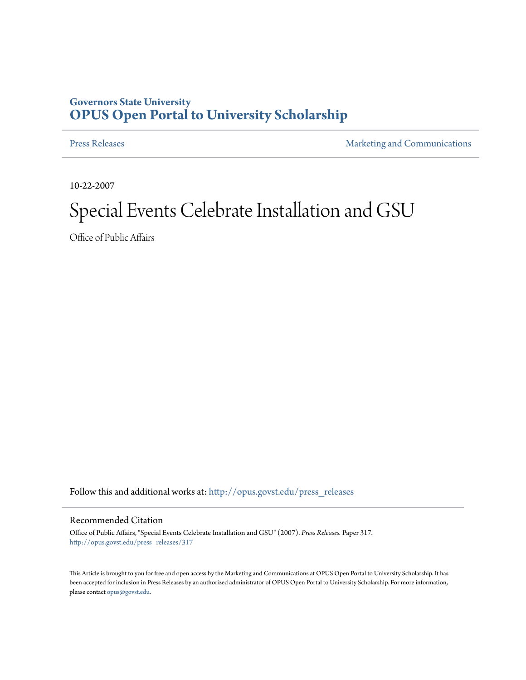## **Governors State University [OPUS Open Portal to University Scholarship](http://opus.govst.edu?utm_source=opus.govst.edu%2Fpress_releases%2F317&utm_medium=PDF&utm_campaign=PDFCoverPages)**

[Press Releases](http://opus.govst.edu/press_releases?utm_source=opus.govst.edu%2Fpress_releases%2F317&utm_medium=PDF&utm_campaign=PDFCoverPages) **[Marketing and Communications](http://opus.govst.edu/marketing_comm?utm_source=opus.govst.edu%2Fpress_releases%2F317&utm_medium=PDF&utm_campaign=PDFCoverPages)** 

10-22-2007

## Special Events Celebrate Installation and GSU

Office of Public Affairs

Follow this and additional works at: [http://opus.govst.edu/press\\_releases](http://opus.govst.edu/press_releases?utm_source=opus.govst.edu%2Fpress_releases%2F317&utm_medium=PDF&utm_campaign=PDFCoverPages)

## Recommended Citation

Office of Public Affairs, "Special Events Celebrate Installation and GSU" (2007). *Press Releases.* Paper 317. [http://opus.govst.edu/press\\_releases/317](http://opus.govst.edu/press_releases/317?utm_source=opus.govst.edu%2Fpress_releases%2F317&utm_medium=PDF&utm_campaign=PDFCoverPages)

This Article is brought to you for free and open access by the Marketing and Communications at OPUS Open Portal to University Scholarship. It has been accepted for inclusion in Press Releases by an authorized administrator of OPUS Open Portal to University Scholarship. For more information, please contact [opus@govst.edu](mailto:opus@govst.edu).